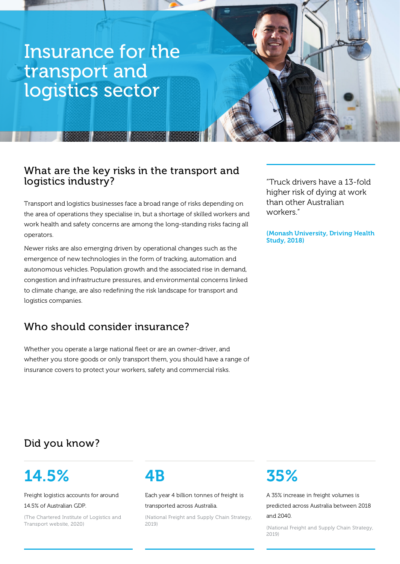# Insurance for the transport and logistics sector

法安安安

### What are the key risks in the transport and logistics industry?

Transport and logistics businesses face a broad range of risks depending on the area of operations they specialise in, but a shortage of skilled workers and work health and safety concerns are among the long-standing risks facing all operators.

Newer risks are also emerging driven by operational changes such as the emergence of new technologies in the form of tracking, automation and autonomous vehicles. Population growth and the associated rise in demand, congestion and infrastructure pressures, and environmental concerns linked to climate change, are also redefining the risk landscape for transport and logistics companies.

## Who should consider insurance?

Whether you operate a large national fleet or are an owner-driver, and whether you store goods or only transport them, you should have a range of insurance covers to protect your workers, safety and commercial risks.

"Truck drivers have a 13-fold higher risk of dying at work than other Australian workers."

(Monash University, Driving Health Study, 2018)

## Did you know?

# 14.5%

Freight logistics accounts for around 14.5% of Australian GDP.

(The Chartered Institute of Logistics and Transport website, 2020)

## 4B

Each year 4 billion tonnes of freight is transported across Australia.

(National Freight and Supply Chain Strategy, 2019)

# 35%

A 35% increase in freight volumes is predicted across Australia between 2018 and 2040.

(National Freight and Supply Chain Strategy, 2019)